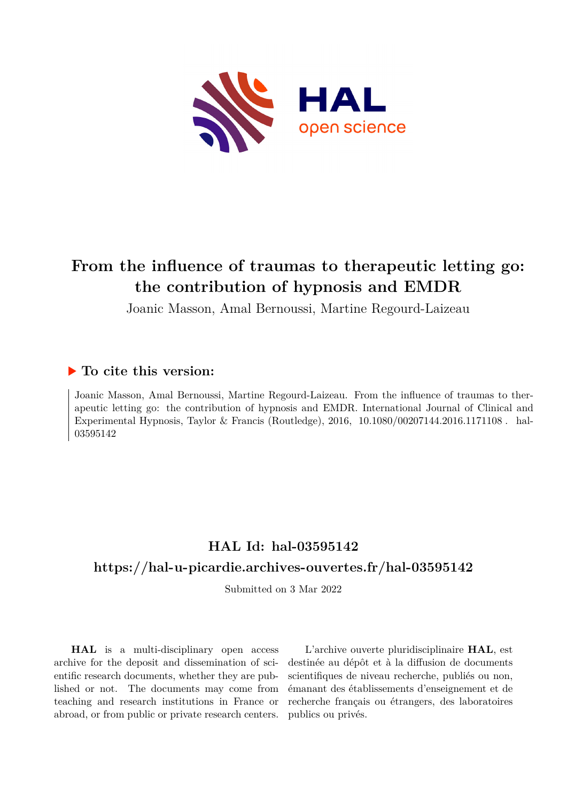

# **From the influence of traumas to therapeutic letting go: the contribution of hypnosis and EMDR**

Joanic Masson, Amal Bernoussi, Martine Regourd-Laizeau

### **To cite this version:**

Joanic Masson, Amal Bernoussi, Martine Regourd-Laizeau. From the influence of traumas to therapeutic letting go: the contribution of hypnosis and EMDR. International Journal of Clinical and Experimental Hypnosis, Taylor & Francis (Routledge),  $2016$ ,  $10.1080/00207144.2016.1171108$ . hal-03595142

## **HAL Id: hal-03595142 <https://hal-u-picardie.archives-ouvertes.fr/hal-03595142>**

Submitted on 3 Mar 2022

**HAL** is a multi-disciplinary open access archive for the deposit and dissemination of scientific research documents, whether they are published or not. The documents may come from teaching and research institutions in France or abroad, or from public or private research centers.

L'archive ouverte pluridisciplinaire **HAL**, est destinée au dépôt et à la diffusion de documents scientifiques de niveau recherche, publiés ou non, émanant des établissements d'enseignement et de recherche français ou étrangers, des laboratoires publics ou privés.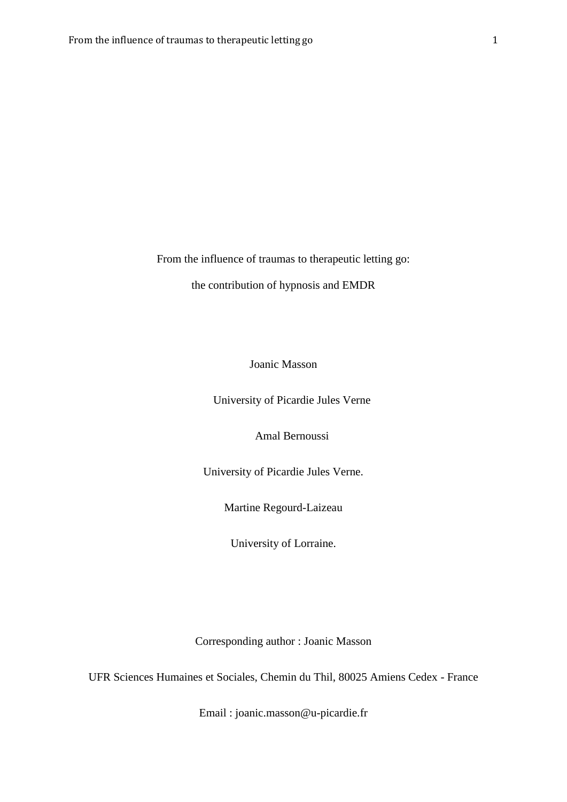From the influence of traumas to therapeutic letting go:

the contribution of hypnosis and EMDR

Joanic Masson

University of Picardie Jules Verne

Amal Bernoussi

University of Picardie Jules Verne.

Martine Regourd-Laizeau

University of Lorraine.

Corresponding author : Joanic Masson

UFR Sciences Humaines et Sociales, Chemin du Thil, 80025 Amiens Cedex - France

Email : joanic.masson@u-picardie.fr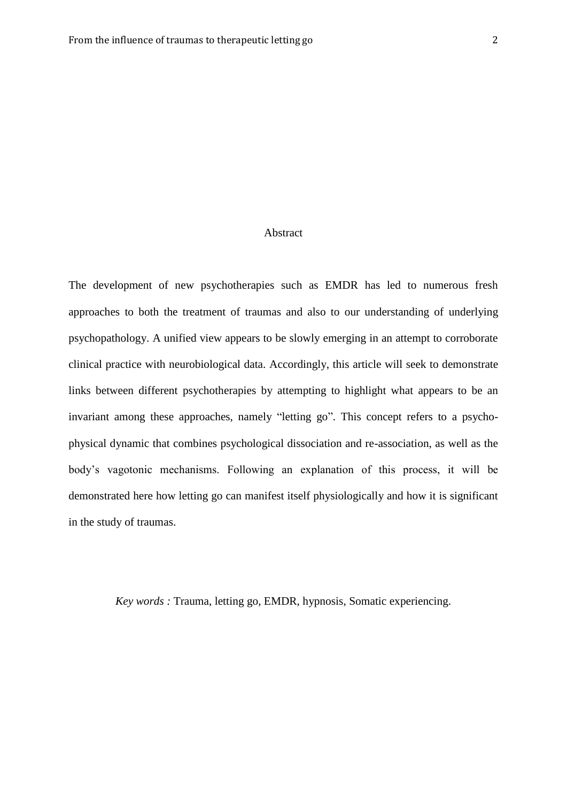#### Abstract

The development of new psychotherapies such as EMDR has led to numerous fresh approaches to both the treatment of traumas and also to our understanding of underlying psychopathology. A unified view appears to be slowly emerging in an attempt to corroborate clinical practice with neurobiological data. Accordingly, this article will seek to demonstrate links between different psychotherapies by attempting to highlight what appears to be an invariant among these approaches, namely "letting go". This concept refers to a psychophysical dynamic that combines psychological dissociation and re-association, as well as the body's vagotonic mechanisms. Following an explanation of this process, it will be demonstrated here how letting go can manifest itself physiologically and how it is significant in the study of traumas.

*Key words :* Trauma, letting go, EMDR, hypnosis, Somatic experiencing.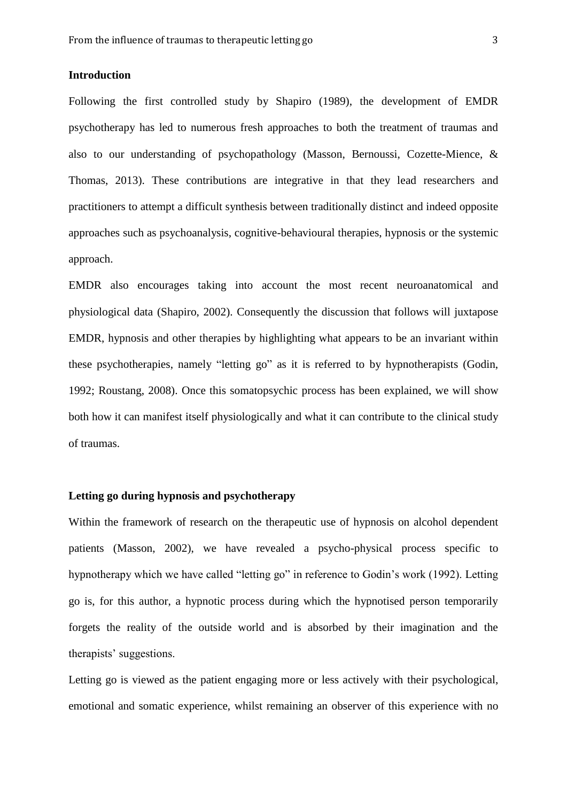#### **Introduction**

Following the first controlled study by Shapiro (1989), the development of EMDR psychotherapy has led to numerous fresh approaches to both the treatment of traumas and also to our understanding of psychopathology (Masson, Bernoussi, Cozette-Mience, & Thomas, 2013). These contributions are integrative in that they lead researchers and practitioners to attempt a difficult synthesis between traditionally distinct and indeed opposite approaches such as psychoanalysis, cognitive-behavioural therapies, hypnosis or the systemic approach.

EMDR also encourages taking into account the most recent neuroanatomical and physiological data (Shapiro, 2002). Consequently the discussion that follows will juxtapose EMDR, hypnosis and other therapies by highlighting what appears to be an invariant within these psychotherapies, namely "letting go" as it is referred to by hypnotherapists (Godin, 1992; Roustang, 2008). Once this somatopsychic process has been explained, we will show both how it can manifest itself physiologically and what it can contribute to the clinical study of traumas.

#### **Letting go during hypnosis and psychotherapy**

Within the framework of research on the therapeutic use of hypnosis on alcohol dependent patients (Masson, 2002), we have revealed a psycho-physical process specific to hypnotherapy which we have called "letting go" in reference to Godin's work (1992). Letting go is, for this author, a hypnotic process during which the hypnotised person temporarily forgets the reality of the outside world and is absorbed by their imagination and the therapists' suggestions.

Letting go is viewed as the patient engaging more or less actively with their psychological, emotional and somatic experience, whilst remaining an observer of this experience with no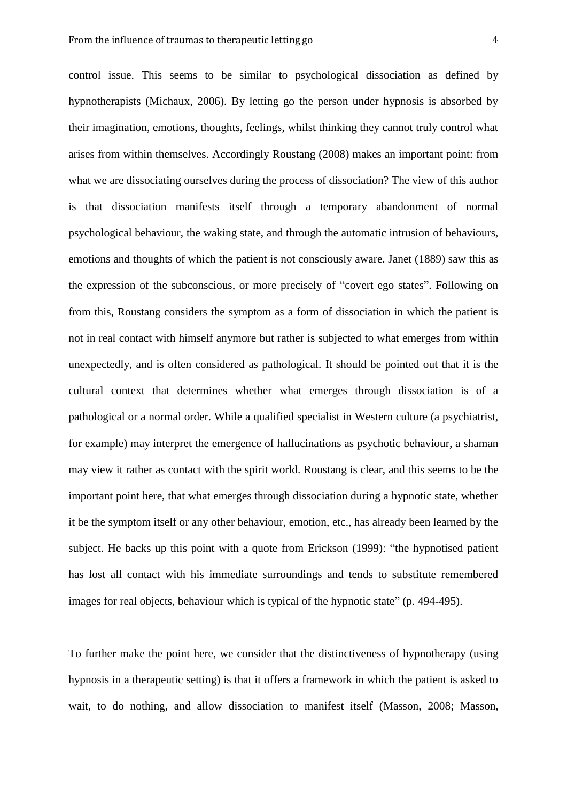control issue. This seems to be similar to psychological dissociation as defined by hypnotherapists (Michaux, 2006). By letting go the person under hypnosis is absorbed by their imagination, emotions, thoughts, feelings, whilst thinking they cannot truly control what arises from within themselves. Accordingly Roustang (2008) makes an important point: from what we are dissociating ourselves during the process of dissociation? The view of this author is that dissociation manifests itself through a temporary abandonment of normal psychological behaviour, the waking state, and through the automatic intrusion of behaviours, emotions and thoughts of which the patient is not consciously aware. Janet (1889) saw this as the expression of the subconscious, or more precisely of "covert ego states". Following on from this, Roustang considers the symptom as a form of dissociation in which the patient is not in real contact with himself anymore but rather is subjected to what emerges from within unexpectedly, and is often considered as pathological. It should be pointed out that it is the cultural context that determines whether what emerges through dissociation is of a pathological or a normal order. While a qualified specialist in Western culture (a psychiatrist, for example) may interpret the emergence of hallucinations as psychotic behaviour, a shaman may view it rather as contact with the spirit world. Roustang is clear, and this seems to be the important point here, that what emerges through dissociation during a hypnotic state, whether it be the symptom itself or any other behaviour, emotion, etc., has already been learned by the subject. He backs up this point with a quote from Erickson (1999): "the hypnotised patient has lost all contact with his immediate surroundings and tends to substitute remembered images for real objects, behaviour which is typical of the hypnotic state" (p. 494-495).

To further make the point here, we consider that the distinctiveness of hypnotherapy (using hypnosis in a therapeutic setting) is that it offers a framework in which the patient is asked to wait, to do nothing, and allow dissociation to manifest itself (Masson, 2008; Masson,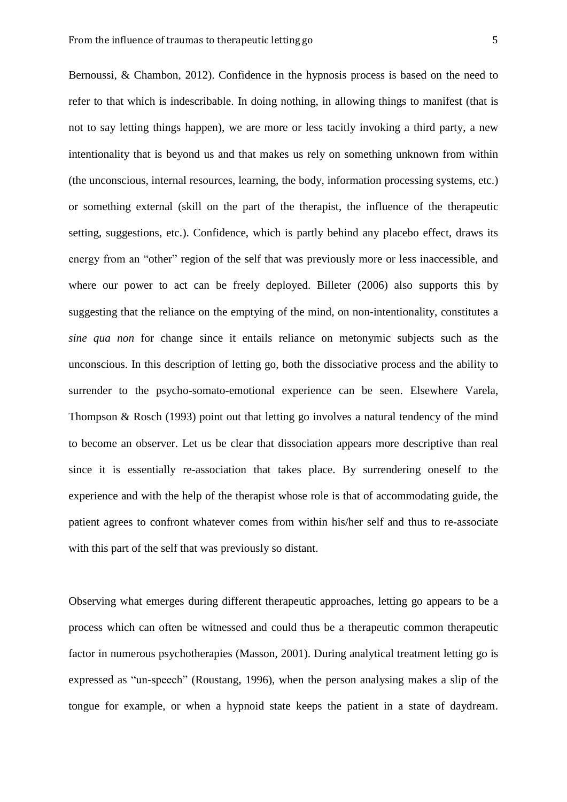Bernoussi, & Chambon, 2012). Confidence in the hypnosis process is based on the need to refer to that which is indescribable. In doing nothing, in allowing things to manifest (that is not to say letting things happen), we are more or less tacitly invoking a third party, a new intentionality that is beyond us and that makes us rely on something unknown from within (the unconscious, internal resources, learning, the body, information processing systems, etc.) or something external (skill on the part of the therapist, the influence of the therapeutic setting, suggestions, etc.). Confidence, which is partly behind any placebo effect, draws its energy from an "other" region of the self that was previously more or less inaccessible, and where our power to act can be freely deployed. Billeter (2006) also supports this by suggesting that the reliance on the emptying of the mind, on non-intentionality, constitutes a *sine qua non* for change since it entails reliance on metonymic subjects such as the unconscious. In this description of letting go, both the dissociative process and the ability to surrender to the psycho-somato-emotional experience can be seen. Elsewhere Varela, Thompson & Rosch (1993) point out that letting go involves a natural tendency of the mind to become an observer. Let us be clear that dissociation appears more descriptive than real since it is essentially re-association that takes place. By surrendering oneself to the experience and with the help of the therapist whose role is that of accommodating guide, the patient agrees to confront whatever comes from within his/her self and thus to re-associate with this part of the self that was previously so distant.

Observing what emerges during different therapeutic approaches, letting go appears to be a process which can often be witnessed and could thus be a therapeutic common therapeutic factor in numerous psychotherapies (Masson, 2001). During analytical treatment letting go is expressed as "un-speech" (Roustang, 1996), when the person analysing makes a slip of the tongue for example, or when a hypnoid state keeps the patient in a state of daydream.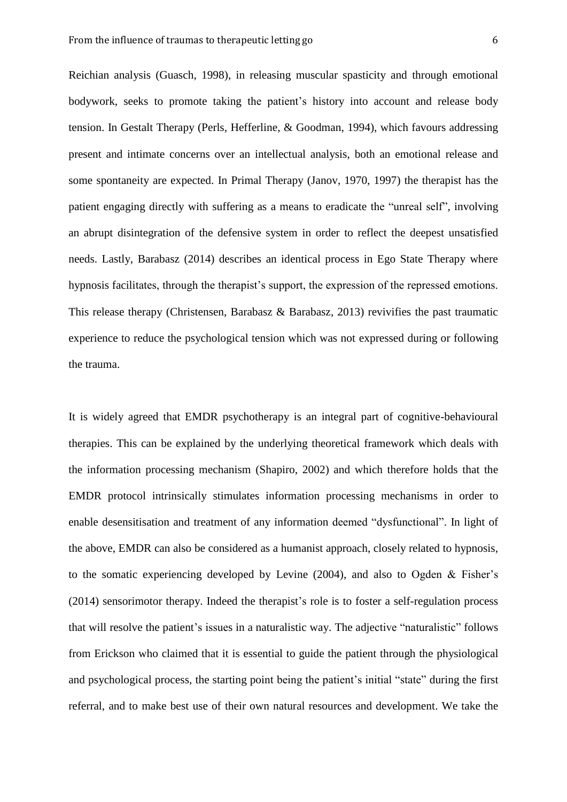Reichian analysis (Guasch, 1998), in releasing muscular spasticity and through emotional bodywork, seeks to promote taking the patient's history into account and release body tension. In Gestalt Therapy (Perls, Hefferline, & Goodman, 1994), which favours addressing present and intimate concerns over an intellectual analysis, both an emotional release and some spontaneity are expected. In Primal Therapy (Janov, 1970, 1997) the therapist has the patient engaging directly with suffering as a means to eradicate the "unreal self", involving an abrupt disintegration of the defensive system in order to reflect the deepest unsatisfied needs. Lastly, Barabasz (2014) describes an identical process in Ego State Therapy where hypnosis facilitates, through the therapist's support, the expression of the repressed emotions. This release therapy (Christensen, Barabasz & Barabasz, 2013) revivifies the past traumatic experience to reduce the psychological tension which was not expressed during or following the trauma.

It is widely agreed that EMDR psychotherapy is an integral part of cognitive-behavioural therapies. This can be explained by the underlying theoretical framework which deals with the information processing mechanism (Shapiro, 2002) and which therefore holds that the EMDR protocol intrinsically stimulates information processing mechanisms in order to enable desensitisation and treatment of any information deemed "dysfunctional". In light of the above, EMDR can also be considered as a humanist approach, closely related to hypnosis, to the somatic experiencing developed by Levine (2004), and also to Ogden & Fisher's (2014) sensorimotor therapy. Indeed the therapist's role is to foster a self-regulation process that will resolve the patient's issues in a naturalistic way. The adjective "naturalistic" follows from Erickson who claimed that it is essential to guide the patient through the physiological and psychological process, the starting point being the patient's initial "state" during the first referral, and to make best use of their own natural resources and development. We take the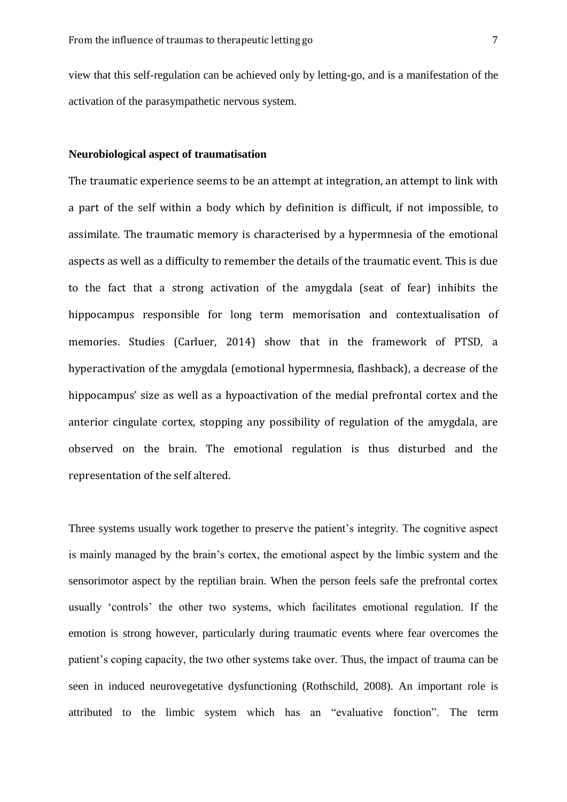view that this self-regulation can be achieved only by letting-go, and is a manifestation of the activation of the parasympathetic nervous system.

#### **Neurobiological aspect of traumatisation**

The traumatic experience seems to be an attempt at integration, an attempt to link with a part of the self within a body which by definition is difficult, if not impossible, to assimilate. The traumatic memory is characterised by a hypermnesia of the emotional aspects as well as a difficulty to remember the details of the traumatic event. This is due to the fact that a strong activation of the amygdala (seat of fear) inhibits the hippocampus responsible for long term memorisation and contextualisation of memories. Studies (Carluer, 2014) show that in the framework of PTSD, a hyperactivation of the amygdala (emotional hypermnesia, flashback), a decrease of the hippocampus' size as well as a hypoactivation of the medial prefrontal cortex and the anterior cingulate cortex, stopping any possibility of regulation of the amygdala, are observed on the brain. The emotional regulation is thus disturbed and the representation of the self altered.

Three systems usually work together to preserve the patient's integrity. The cognitive aspect is mainly managed by the brain's cortex, the emotional aspect by the limbic system and the sensorimotor aspect by the reptilian brain. When the person feels safe the prefrontal cortex usually 'controls' the other two systems, which facilitates emotional regulation. If the emotion is strong however, particularly during traumatic events where fear overcomes the patient's coping capacity, the two other systems take over. Thus, the impact of trauma can be seen in induced neurovegetative dysfunctioning (Rothschild, 2008). An important role is attributed to the limbic system which has an "evaluative fonction". The term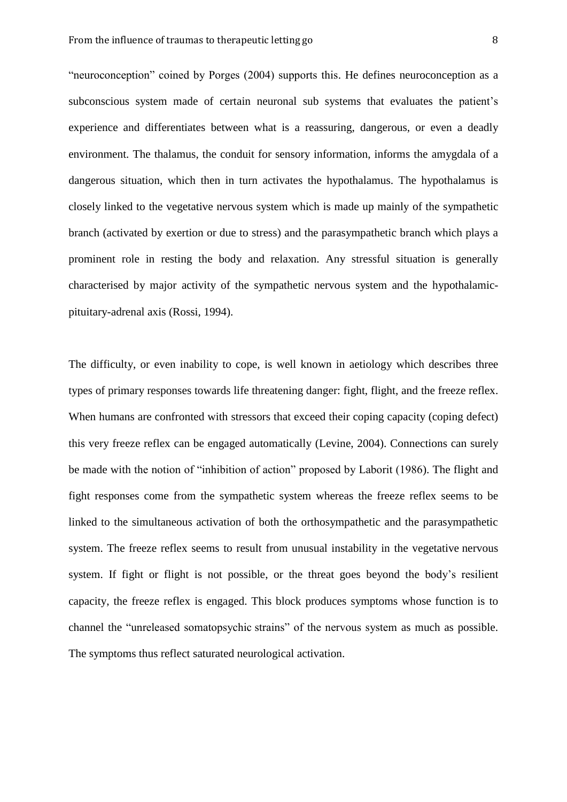"neuroconception" coined by Porges (2004) supports this. He defines neuroconception as a subconscious system made of certain neuronal sub systems that evaluates the patient's experience and differentiates between what is a reassuring, dangerous, or even a deadly environment. The thalamus, the conduit for sensory information, informs the amygdala of a dangerous situation, which then in turn activates the hypothalamus. The hypothalamus is closely linked to the vegetative nervous system which is made up mainly of the sympathetic branch (activated by exertion or due to stress) and the parasympathetic branch which plays a prominent role in resting the body and relaxation. Any stressful situation is generally characterised by major activity of the sympathetic nervous system and the hypothalamicpituitary-adrenal axis (Rossi, 1994).

The difficulty, or even inability to cope, is well known in aetiology which describes three types of primary responses towards life threatening danger: fight, flight, and the freeze reflex. When humans are confronted with stressors that exceed their coping capacity (coping defect) this very freeze reflex can be engaged automatically (Levine, 2004). Connections can surely be made with the notion of "inhibition of action" proposed by Laborit (1986). The flight and fight responses come from the sympathetic system whereas the freeze reflex seems to be linked to the simultaneous activation of both the orthosympathetic and the parasympathetic system. The freeze reflex seems to result from unusual instability in the vegetative nervous system. If fight or flight is not possible, or the threat goes beyond the body's resilient capacity, the freeze reflex is engaged. This block produces symptoms whose function is to channel the "unreleased somatopsychic strains" of the nervous system as much as possible. The symptoms thus reflect saturated neurological activation.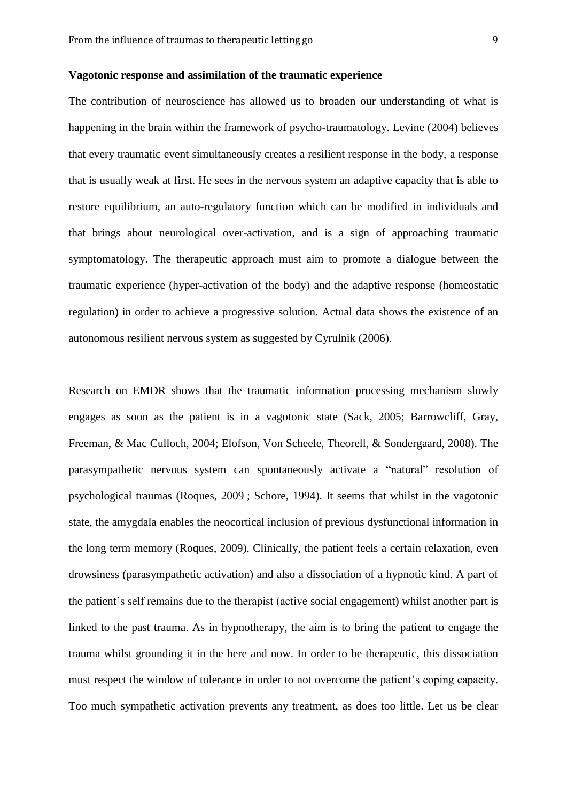#### **Vagotonic response and assimilation of the traumatic experience**

The contribution of neuroscience has allowed us to broaden our understanding of what is happening in the brain within the framework of psycho-traumatology. Levine (2004) believes that every traumatic event simultaneously creates a resilient response in the body, a response that is usually weak at first. He sees in the nervous system an adaptive capacity that is able to restore equilibrium, an auto-regulatory function which can be modified in individuals and that brings about neurological over-activation, and is a sign of approaching traumatic symptomatology. The therapeutic approach must aim to promote a dialogue between the traumatic experience (hyper-activation of the body) and the adaptive response (homeostatic regulation) in order to achieve a progressive solution. Actual data shows the existence of an autonomous resilient nervous system as suggested by Cyrulnik (2006).

Research on EMDR shows that the traumatic information processing mechanism slowly engages as soon as the patient is in a vagotonic state (Sack, 2005; Barrowcliff, Gray, Freeman, & Mac Culloch, 2004; Elofson, Von Scheele, Theorell, & Sondergaard, 2008). The parasympathetic nervous system can spontaneously activate a "natural" resolution of psychological traumas (Roques, 2009 ; Schore, 1994). It seems that whilst in the vagotonic state, the amygdala enables the neocortical inclusion of previous dysfunctional information in the long term memory (Roques, 2009). Clinically, the patient feels a certain relaxation, even drowsiness (parasympathetic activation) and also a dissociation of a hypnotic kind. A part of the patient's self remains due to the therapist (active social engagement) whilst another part is linked to the past trauma. As in hypnotherapy, the aim is to bring the patient to engage the trauma whilst grounding it in the here and now. In order to be therapeutic, this dissociation must respect the window of tolerance in order to not overcome the patient's coping capacity. Too much sympathetic activation prevents any treatment, as does too little. Let us be clear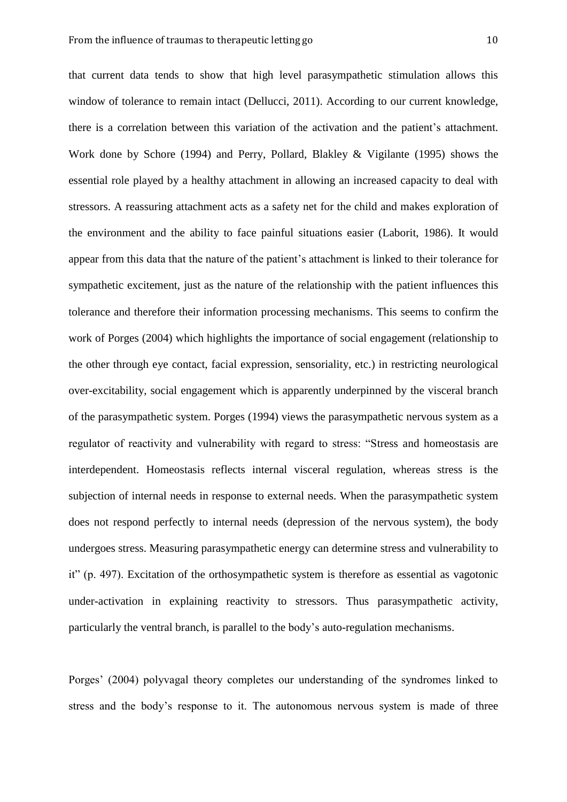that current data tends to show that high level parasympathetic stimulation allows this window of tolerance to remain intact (Dellucci, 2011). According to our current knowledge, there is a correlation between this variation of the activation and the patient's attachment. Work done by Schore (1994) and Perry, Pollard, Blakley & Vigilante (1995) shows the essential role played by a healthy attachment in allowing an increased capacity to deal with stressors. A reassuring attachment acts as a safety net for the child and makes exploration of the environment and the ability to face painful situations easier (Laborit, 1986). It would appear from this data that the nature of the patient's attachment is linked to their tolerance for sympathetic excitement, just as the nature of the relationship with the patient influences this tolerance and therefore their information processing mechanisms. This seems to confirm the work of Porges (2004) which highlights the importance of social engagement (relationship to the other through eye contact, facial expression, sensoriality, etc.) in restricting neurological over-excitability, social engagement which is apparently underpinned by the visceral branch of the parasympathetic system. Porges (1994) views the parasympathetic nervous system as a regulator of reactivity and vulnerability with regard to stress: "Stress and homeostasis are interdependent. Homeostasis reflects internal visceral regulation, whereas stress is the subjection of internal needs in response to external needs. When the parasympathetic system does not respond perfectly to internal needs (depression of the nervous system), the body undergoes stress. Measuring parasympathetic energy can determine stress and vulnerability to it" (p. 497). Excitation of the orthosympathetic system is therefore as essential as vagotonic under-activation in explaining reactivity to stressors. Thus parasympathetic activity, particularly the ventral branch, is parallel to the body's auto-regulation mechanisms.

Porges' (2004) polyvagal theory completes our understanding of the syndromes linked to stress and the body's response to it. The autonomous nervous system is made of three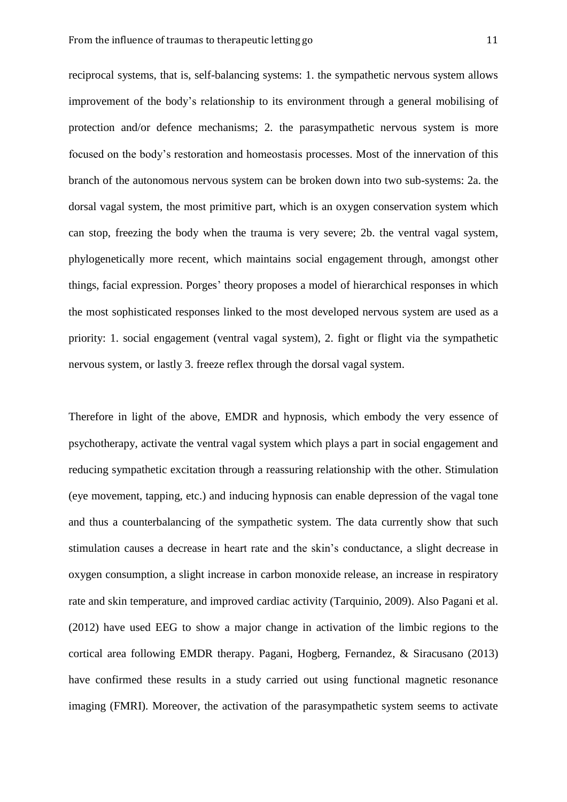reciprocal systems, that is, self-balancing systems: 1. the sympathetic nervous system allows improvement of the body's relationship to its environment through a general mobilising of protection and/or defence mechanisms; 2. the parasympathetic nervous system is more focused on the body's restoration and homeostasis processes. Most of the innervation of this branch of the autonomous nervous system can be broken down into two sub-systems: 2a. the dorsal vagal system, the most primitive part, which is an oxygen conservation system which can stop, freezing the body when the trauma is very severe; 2b. the ventral vagal system, phylogenetically more recent, which maintains social engagement through, amongst other things, facial expression. Porges' theory proposes a model of hierarchical responses in which the most sophisticated responses linked to the most developed nervous system are used as a priority: 1. social engagement (ventral vagal system), 2. fight or flight via the sympathetic nervous system, or lastly 3. freeze reflex through the dorsal vagal system.

Therefore in light of the above, EMDR and hypnosis, which embody the very essence of psychotherapy, activate the ventral vagal system which plays a part in social engagement and reducing sympathetic excitation through a reassuring relationship with the other. Stimulation (eye movement, tapping, etc.) and inducing hypnosis can enable depression of the vagal tone and thus a counterbalancing of the sympathetic system. The data currently show that such stimulation causes a decrease in heart rate and the skin's conductance, a slight decrease in oxygen consumption, a slight increase in carbon monoxide release, an increase in respiratory rate and skin temperature, and improved cardiac activity (Tarquinio, 2009). Also Pagani et al. (2012) have used EEG to show a major change in activation of the limbic regions to the cortical area following EMDR therapy. Pagani, Hogberg, Fernandez, & Siracusano (2013) have confirmed these results in a study carried out using functional magnetic resonance imaging (FMRI). Moreover, the activation of the parasympathetic system seems to activate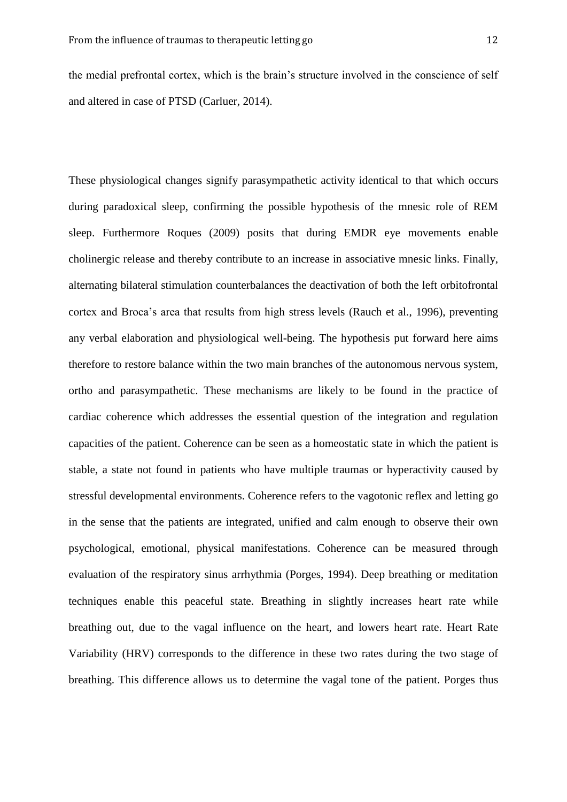the medial prefrontal cortex, which is the brain's structure involved in the conscience of self and altered in case of PTSD (Carluer, 2014).

These physiological changes signify parasympathetic activity identical to that which occurs during paradoxical sleep, confirming the possible hypothesis of the mnesic role of REM sleep. Furthermore Roques (2009) posits that during EMDR eye movements enable cholinergic release and thereby contribute to an increase in associative mnesic links. Finally, alternating bilateral stimulation counterbalances the deactivation of both the left orbitofrontal cortex and Broca's area that results from high stress levels (Rauch et al., 1996), preventing any verbal elaboration and physiological well-being. The hypothesis put forward here aims therefore to restore balance within the two main branches of the autonomous nervous system, ortho and parasympathetic. These mechanisms are likely to be found in the practice of cardiac coherence which addresses the essential question of the integration and regulation capacities of the patient. Coherence can be seen as a homeostatic state in which the patient is stable, a state not found in patients who have multiple traumas or hyperactivity caused by stressful developmental environments. Coherence refers to the vagotonic reflex and letting go in the sense that the patients are integrated, unified and calm enough to observe their own psychological, emotional, physical manifestations. Coherence can be measured through evaluation of the respiratory sinus arrhythmia (Porges, 1994). Deep breathing or meditation techniques enable this peaceful state. Breathing in slightly increases heart rate while breathing out, due to the vagal influence on the heart, and lowers heart rate. Heart Rate Variability (HRV) corresponds to the difference in these two rates during the two stage of breathing. This difference allows us to determine the vagal tone of the patient. Porges thus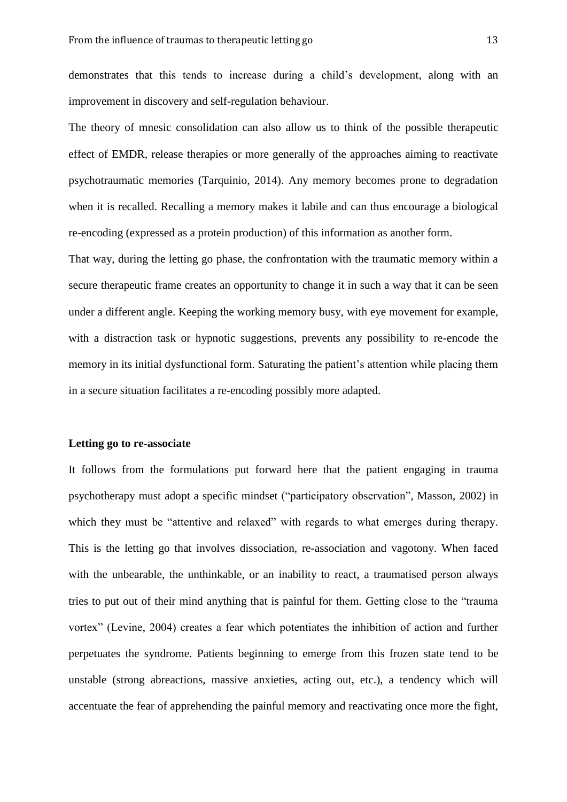demonstrates that this tends to increase during a child's development, along with an improvement in discovery and self-regulation behaviour.

The theory of mnesic consolidation can also allow us to think of the possible therapeutic effect of EMDR, release therapies or more generally of the approaches aiming to reactivate psychotraumatic memories (Tarquinio, 2014). Any memory becomes prone to degradation when it is recalled. Recalling a memory makes it labile and can thus encourage a biological re-encoding (expressed as a protein production) of this information as another form.

That way, during the letting go phase, the confrontation with the traumatic memory within a secure therapeutic frame creates an opportunity to change it in such a way that it can be seen under a different angle. Keeping the working memory busy, with eye movement for example, with a distraction task or hypnotic suggestions, prevents any possibility to re-encode the memory in its initial dysfunctional form. Saturating the patient's attention while placing them in a secure situation facilitates a re-encoding possibly more adapted.

#### **Letting go to re-associate**

It follows from the formulations put forward here that the patient engaging in trauma psychotherapy must adopt a specific mindset ("participatory observation", Masson, 2002) in which they must be "attentive and relaxed" with regards to what emerges during therapy. This is the letting go that involves dissociation, re-association and vagotony. When faced with the unbearable, the unthinkable, or an inability to react, a traumatised person always tries to put out of their mind anything that is painful for them. Getting close to the "trauma vortex" (Levine, 2004) creates a fear which potentiates the inhibition of action and further perpetuates the syndrome. Patients beginning to emerge from this frozen state tend to be unstable (strong abreactions, massive anxieties, acting out, etc.), a tendency which will accentuate the fear of apprehending the painful memory and reactivating once more the fight,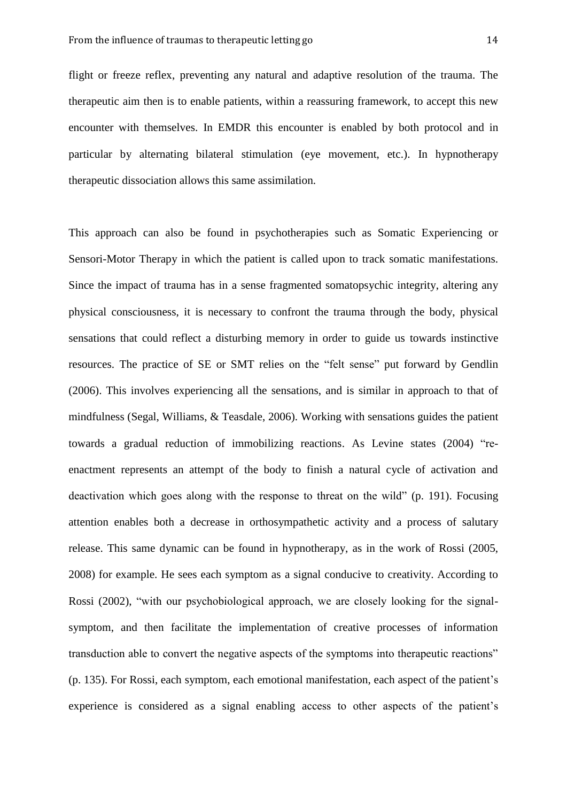flight or freeze reflex, preventing any natural and adaptive resolution of the trauma. The therapeutic aim then is to enable patients, within a reassuring framework, to accept this new encounter with themselves. In EMDR this encounter is enabled by both protocol and in particular by alternating bilateral stimulation (eye movement, etc.). In hypnotherapy therapeutic dissociation allows this same assimilation.

This approach can also be found in psychotherapies such as Somatic Experiencing or Sensori-Motor Therapy in which the patient is called upon to track somatic manifestations. Since the impact of trauma has in a sense fragmented somatopsychic integrity, altering any physical consciousness, it is necessary to confront the trauma through the body, physical sensations that could reflect a disturbing memory in order to guide us towards instinctive resources. The practice of SE or SMT relies on the "felt sense" put forward by Gendlin (2006). This involves experiencing all the sensations, and is similar in approach to that of mindfulness (Segal, Williams, & Teasdale, 2006). Working with sensations guides the patient towards a gradual reduction of immobilizing reactions. As Levine states (2004) "reenactment represents an attempt of the body to finish a natural cycle of activation and deactivation which goes along with the response to threat on the wild" (p. 191). Focusing attention enables both a decrease in orthosympathetic activity and a process of salutary release. This same dynamic can be found in hypnotherapy, as in the work of Rossi (2005, 2008) for example. He sees each symptom as a signal conducive to creativity. According to Rossi (2002), "with our psychobiological approach, we are closely looking for the signalsymptom, and then facilitate the implementation of creative processes of information transduction able to convert the negative aspects of the symptoms into therapeutic reactions" (p. 135). For Rossi, each symptom, each emotional manifestation, each aspect of the patient's experience is considered as a signal enabling access to other aspects of the patient's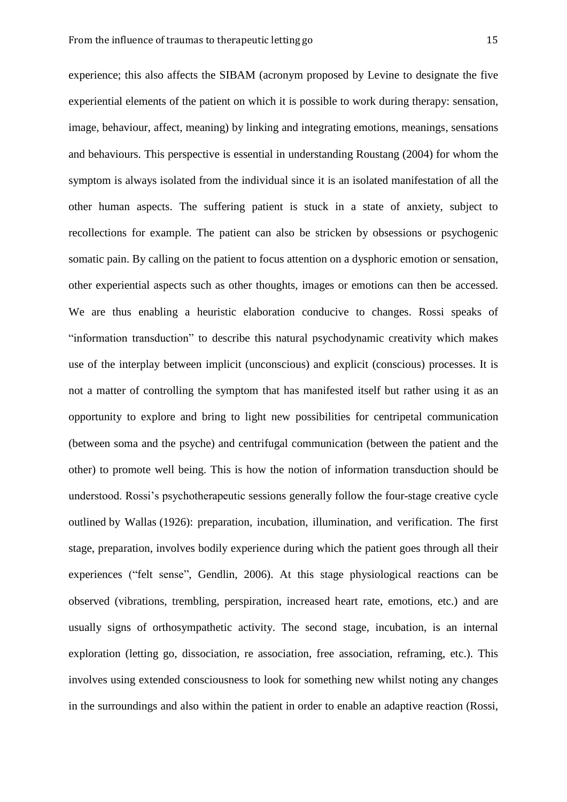experience; this also affects the SIBAM (acronym proposed by Levine to designate the five experiential elements of the patient on which it is possible to work during therapy: sensation, image, behaviour, affect, meaning) by linking and integrating emotions, meanings, sensations and behaviours. This perspective is essential in understanding Roustang (2004) for whom the symptom is always isolated from the individual since it is an isolated manifestation of all the other human aspects. The suffering patient is stuck in a state of anxiety, subject to recollections for example. The patient can also be stricken by obsessions or psychogenic somatic pain. By calling on the patient to focus attention on a dysphoric emotion or sensation, other experiential aspects such as other thoughts, images or emotions can then be accessed. We are thus enabling a heuristic elaboration conducive to changes. Rossi speaks of "information transduction" to describe this natural psychodynamic creativity which makes use of the interplay between implicit (unconscious) and explicit (conscious) processes. It is not a matter of controlling the symptom that has manifested itself but rather using it as an opportunity to explore and bring to light new possibilities for centripetal communication (between soma and the psyche) and centrifugal communication (between the patient and the other) to promote well being. This is how the notion of information transduction should be understood. Rossi's psychotherapeutic sessions generally follow the four-stage creative cycle outlined by Wallas (1926): preparation, incubation, illumination, and verification. The first stage, preparation, involves bodily experience during which the patient goes through all their experiences ("felt sense", Gendlin, 2006). At this stage physiological reactions can be observed (vibrations, trembling, perspiration, increased heart rate, emotions, etc.) and are usually signs of orthosympathetic activity. The second stage, incubation, is an internal exploration (letting go, dissociation, re association, free association, reframing, etc.). This involves using extended consciousness to look for something new whilst noting any changes in the surroundings and also within the patient in order to enable an adaptive reaction (Rossi,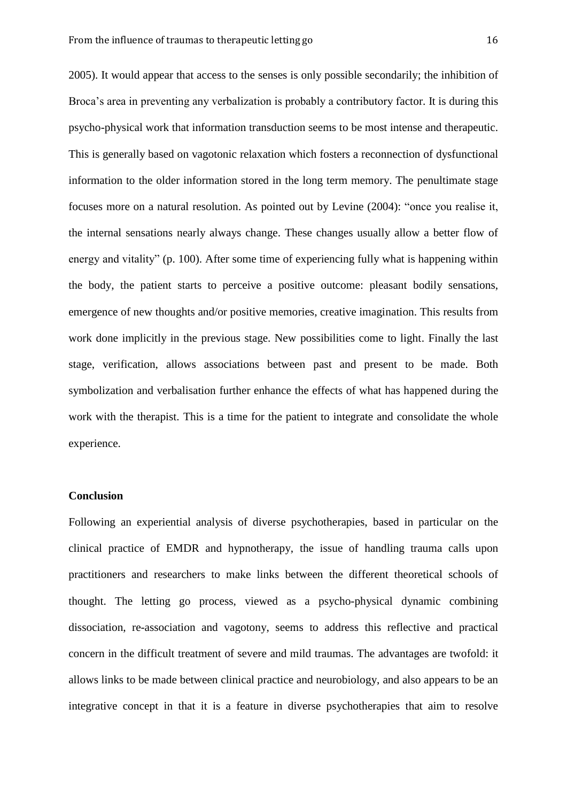2005). It would appear that access to the senses is only possible secondarily; the inhibition of Broca's area in preventing any verbalization is probably a contributory factor. It is during this psycho-physical work that information transduction seems to be most intense and therapeutic. This is generally based on vagotonic relaxation which fosters a reconnection of dysfunctional information to the older information stored in the long term memory. The penultimate stage focuses more on a natural resolution. As pointed out by Levine (2004): "once you realise it, the internal sensations nearly always change. These changes usually allow a better flow of energy and vitality" (p. 100). After some time of experiencing fully what is happening within the body, the patient starts to perceive a positive outcome: pleasant bodily sensations, emergence of new thoughts and/or positive memories, creative imagination. This results from work done implicitly in the previous stage. New possibilities come to light. Finally the last stage, verification, allows associations between past and present to be made. Both symbolization and verbalisation further enhance the effects of what has happened during the work with the therapist. This is a time for the patient to integrate and consolidate the whole experience.

#### **Conclusion**

Following an experiential analysis of diverse psychotherapies, based in particular on the clinical practice of EMDR and hypnotherapy, the issue of handling trauma calls upon practitioners and researchers to make links between the different theoretical schools of thought. The letting go process, viewed as a psycho-physical dynamic combining dissociation, re-association and vagotony, seems to address this reflective and practical concern in the difficult treatment of severe and mild traumas. The advantages are twofold: it allows links to be made between clinical practice and neurobiology, and also appears to be an integrative concept in that it is a feature in diverse psychotherapies that aim to resolve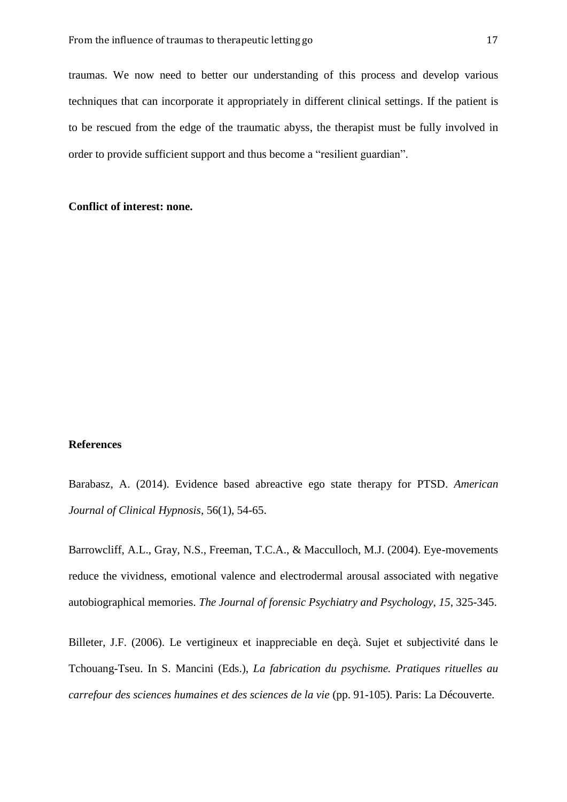traumas. We now need to better our understanding of this process and develop various techniques that can incorporate it appropriately in different clinical settings. If the patient is to be rescued from the edge of the traumatic abyss, the therapist must be fully involved in order to provide sufficient support and thus become a "resilient guardian".

#### **Conflict of interest: none.**

#### **References**

Barabasz, A. (2014). Evidence based abreactive ego state therapy for PTSD. *American Journal of Clinical Hypnosis,* 56(1), 54-65.

Barrowcliff, A.L., Gray, N.S., Freeman, T.C.A., & Macculloch, M.J. (2004). Eye-movements reduce the vividness, emotional valence and electrodermal arousal associated with negative autobiographical memories. *The Journal of forensic Psychiatry and Psychology*, *15*, 325-345.

Billeter, J.F. (2006). Le vertigineux et inappreciable en deçà. Sujet et subjectivité dans le Tchouang-Tseu. In S. Mancini (Eds.), *La fabrication du psychisme. Pratiques rituelles au carrefour des sciences humaines et des sciences de la vie* (pp. 91-105). Paris: La Découverte.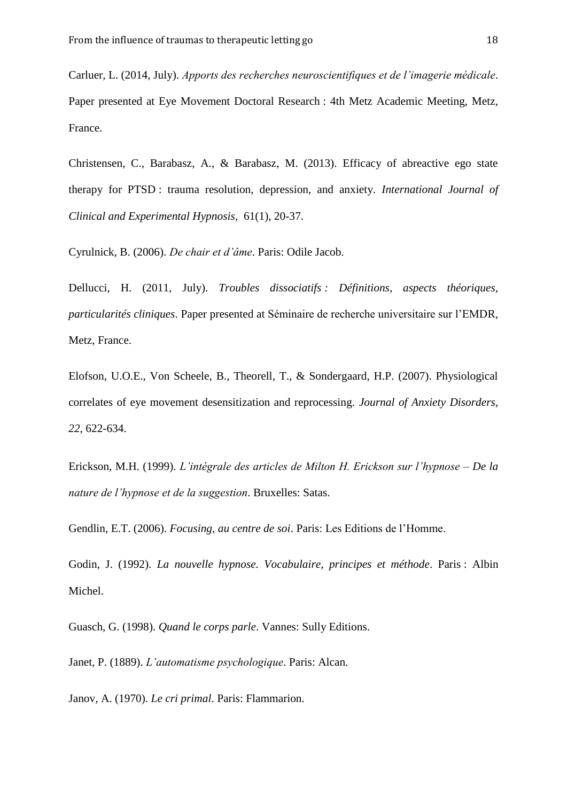Carluer, L. (2014, July). *Apports des recherches neuroscientifiques et de l'imagerie médicale*. Paper presented at Eye Movement Doctoral Research : 4th Metz Academic Meeting, Metz, France.

Christensen, C., Barabasz, A., & Barabasz, M. (2013). Efficacy of abreactive ego state therapy for PTSD : trauma resolution, depression, and anxiety. *International Journal of Clinical and Experimental Hypnosis,* 61(1), 20-37.

Cyrulnick, B. (2006). *De chair et d'âme*. Paris: Odile Jacob.

Dellucci, H. (2011, July). *Troubles dissociatifs : Définitions, aspects théoriques, particularités cliniques*. Paper presented at Séminaire de recherche universitaire sur l'EMDR, Metz, France.

Elofson, U.O.E., Von Scheele, B., Theorell, T., & Sondergaard, H.P. (2007). Physiological correlates of eye movement desensitization and reprocessing. *Journal of Anxiety Disorders*, *22*, 622-634.

Erickson, M.H. (1999). *L'intégrale des articles de Milton H. Erickson sur l'hypnose – De la nature de l'hypnose et de la suggestion*. Bruxelles: Satas.

Gendlin, E.T. (2006). *Focusing, au centre de soi*. Paris: Les Editions de l'Homme.

Godin, J. (1992). *La nouvelle hypnose. Vocabulaire, principes et méthode*. Paris : Albin Michel.

Guasch, G. (1998). *Quand le corps parle*. Vannes: Sully Editions.

Janet, P. (1889). *L'automatisme psychologique*. Paris: Alcan.

Janov, A. (1970). *Le cri primal*. Paris: Flammarion.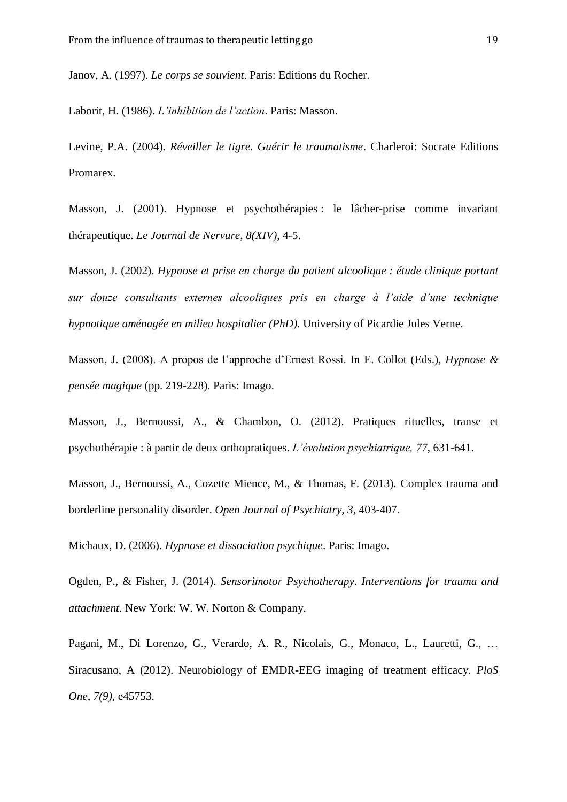Janov, A. (1997). *Le corps se souvient*. Paris: Editions du Rocher.

Laborit, H. (1986). *L'inhibition de l'action*. Paris: Masson.

Levine, P.A. (2004). *Réveiller le tigre. Guérir le traumatisme*. Charleroi: Socrate Editions Promarex.

Masson, J. (2001). Hypnose et psychothérapies : le lâcher-prise comme invariant thérapeutique. *Le Journal de Nervure, 8(XIV)*, 4-5.

Masson, J. (2002). *Hypnose et prise en charge du patient alcoolique : étude clinique portant sur douze consultants externes alcooliques pris en charge à l'aide d'une technique hypnotique aménagée en milieu hospitalier (PhD)*. University of Picardie Jules Verne.

Masson, J. (2008). A propos de l'approche d'Ernest Rossi. In E. Collot (Eds.), *Hypnose & pensée magique* (pp. 219-228). Paris: Imago.

Masson, J., Bernoussi, A., & Chambon, O. (2012). Pratiques rituelles, transe et psychothérapie : à partir de deux orthopratiques. *L'évolution psychiatrique, 77*, 631-641.

Masson, J., Bernoussi, A., Cozette Mience, M., & Thomas, F. (2013). Complex trauma and borderline personality disorder. *Open Journal of Psychiatry, 3*, 403-407.

Michaux, D. (2006). *Hypnose et dissociation psychique*. Paris: Imago.

Ogden, P., & Fisher, J. (2014). *Sensorimotor Psychotherapy. Interventions for trauma and attachment*. New York: W. W. Norton & Company.

Pagani, M., Di Lorenzo, G., Verardo, A. R., Nicolais, G., Monaco, L., Lauretti, G., … Siracusano, A (2012). Neurobiology of EMDR-EEG imaging of treatment efficacy. *PloS One*, *7(9)*, e45753.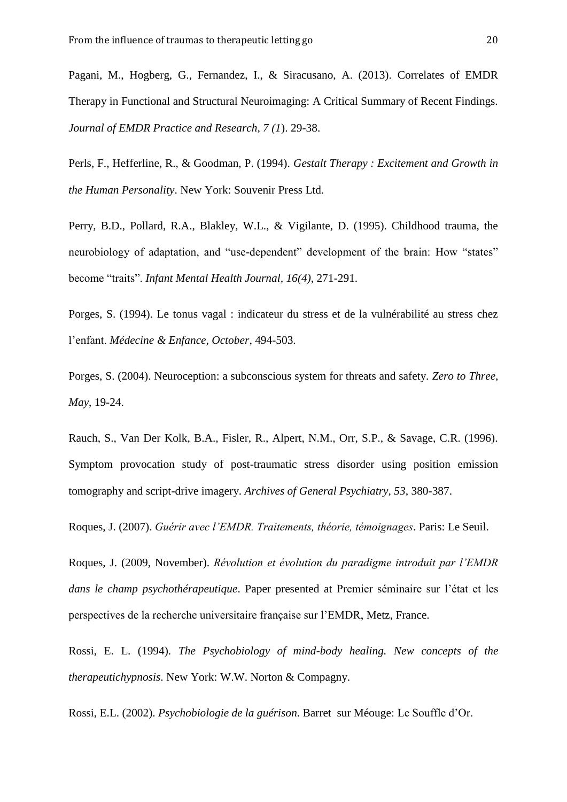Pagani, M., Hogberg, G., Fernandez, I., & Siracusano, A. (2013). Correlates of EMDR Therapy in Functional and Structural Neuroimaging: A Critical Summary of Recent Findings. *Journal of EMDR Practice and Research, 7 (1*). 29-38.

Perls, F., Hefferline, R., & Goodman, P. (1994). *Gestalt Therapy : Excitement and Growth in the Human Personality*. New York: Souvenir Press Ltd.

Perry, B.D., Pollard, R.A., Blakley, W.L., & Vigilante, D. (1995). Childhood trauma, the neurobiology of adaptation, and "use-dependent" development of the brain: How "states" become "traits". *Infant Mental Health Journal, 16(4)*, 271-291.

Porges, S. (1994). Le tonus vagal : indicateur du stress et de la vulnérabilité au stress chez l'enfant. *Médecine & Enfance, October*, 494-503.

Porges, S. (2004). Neuroception: a subconscious system for threats and safety. *Zero to Three*, *May*, 19-24.

Rauch, S., Van Der Kolk, B.A., Fisler, R., Alpert, N.M., Orr, S.P., & Savage, C.R. (1996). Symptom provocation study of post-traumatic stress disorder using position emission tomography and script-drive imagery. *Archives of General Psychiatry, 53*, 380-387.

Roques, J. (2007). *Guérir avec l'EMDR. Traitements, théorie, témoignages*. Paris: Le Seuil.

Roques, J. (2009, November). *Révolution et évolution du paradigme introduit par l'EMDR dans le champ psychothérapeutique*. Paper presented at Premier séminaire sur l'état et les perspectives de la recherche universitaire française sur l'EMDR, Metz, France.

Rossi, E. L. (1994). *The Psychobiology of mind-body healing. New concepts of the therapeutichypnosis*. New York: W.W. Norton & Compagny.

Rossi, E.L. (2002). *Psychobiologie de la guérison*. Barret sur Méouge: Le Souffle d'Or.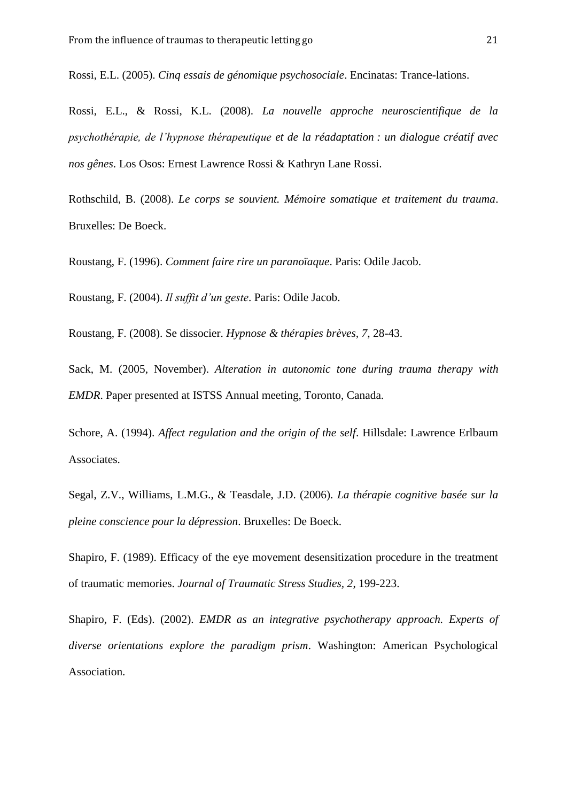Rossi, E.L. (2005). *Cinq essais de génomique psychosociale*. Encinatas: Trance-lations.

Rossi, E.L., & Rossi, K.L. (2008). *La nouvelle approche neuroscientifique de la psychothérapie, de l'hypnose thérapeutique et de la réadaptation : un dialogue créatif avec nos gênes*. Los Osos: Ernest Lawrence Rossi & Kathryn Lane Rossi.

Rothschild, B. (2008). *Le corps se souvient. Mémoire somatique et traitement du trauma*. Bruxelles: De Boeck.

Roustang, F. (1996). *Comment faire rire un paranoïaque*. Paris: Odile Jacob.

Roustang, F. (2004). *Il suffit d'un geste*. Paris: Odile Jacob.

Roustang, F. (2008). Se dissocier. *Hypnose & thérapies brèves, 7*, 28-43.

Sack, M. (2005, November). *Alteration in autonomic tone during trauma therapy with EMDR*. Paper presented at ISTSS Annual meeting, Toronto, Canada.

Schore, A. (1994). *Affect regulation and the origin of the self*. Hillsdale: Lawrence Erlbaum Associates.

Segal, Z.V., Williams, L.M.G., & Teasdale, J.D. (2006). *La thérapie cognitive basée sur la pleine conscience pour la dépression*. Bruxelles: De Boeck.

Shapiro, F. (1989). Efficacy of the eye movement desensitization procedure in the treatment of traumatic memories. *Journal of Traumatic Stress Studies, 2*, 199-223.

Shapiro, F. (Eds). (2002). *EMDR as an integrative psychotherapy approach. Experts of diverse orientations explore the paradigm prism*. Washington: American Psychological Association.